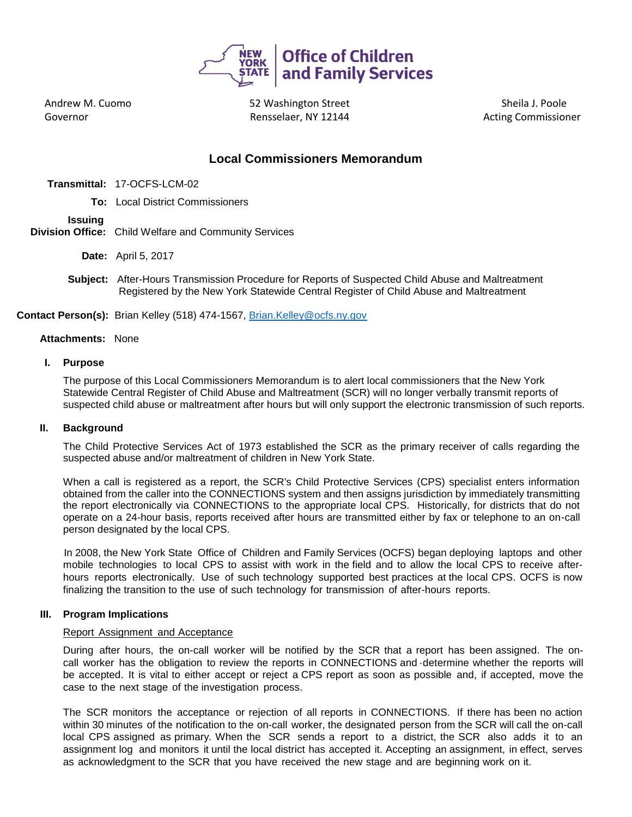

Andrew M. Cuomo Governor

 52 Washington Street Rensselaer, NY 12144 **Markon and Acting Commissioner** 

Sheila J. Poole

# **Local Commissioners Memorandum**

- **Transmittal:** 17-OCFS-LCM-02
	- **To:** Local District Commissioners

# **Issuing**

- **Division Office:** Child Welfare and Community Services
	- **Date:** April 5, 2017
	- **Subject:** After-Hours Transmission Procedure for Reports of Suspected Child Abuse and Maltreatment Registered by the New York Statewide Central Register of Child Abuse and Maltreatment

**Contact Person(s):** Brian Kelley (518) 474-1567, [Brian.Kelley@ocfs.ny.gov](mailto:Brian.Kelley@ocfs.ny.gov)

#### **Attachments:** None

# **I. Purpose**

The purpose of this Local Commissioners Memorandum is to alert local commissioners that the New York Statewide Central Register of Child Abuse and Maltreatment (SCR) will no longer verbally transmit reports of suspected child abuse or maltreatment after hours but will only support the electronic transmission of such reports.

## **II. Background**

The Child Protective Services Act of 1973 established the SCR as the primary receiver of calls regarding the suspected abuse and/or maltreatment of children in New York State.

When a call is registered as a report, the SCR's Child Protective Services (CPS) specialist enters information obtained from the caller into the CONNECTIONS system and then assigns jurisdiction by immediately transmitting the report electronically via CONNECTIONS to the appropriate local CPS. Historically, for districts that do not operate on a 24-hour basis, reports received after hours are transmitted either by fax or telephone to an on-call person designated by the local CPS.

In 2008, the New York State Office of Children and Family Services (OCFS) began deploying laptops and other mobile technologies to local CPS to assist with work in the field and to allow the local CPS to receive afterhours reports electronically. Use of such technology supported best practices at the local CPS. OCFS is now finalizing the transition to the use of such technology for transmission of after-hours reports.

## **III. Program Implications**

## Report Assignment and Acceptance

During after hours, the on-call worker will be notified by the SCR that a report has been assigned. The oncall worker has the obligation to review the reports in CONNECTIONS and ·determine whether the reports will be accepted. It is vital to either accept or reject a CPS report as soon as possible and, if accepted, move the case to the next stage of the investigation process.

The SCR monitors the acceptance or rejection of all reports in CONNECTIONS. If there has been no action within 30 minutes of the notification to the on-call worker, the designated person from the SCR will call the on-call local CPS assigned as primary. When the SCR sends a report to a district, the SCR also adds it to an assignment log and monitors it until the local district has accepted it. Accepting an assignment, in effect, serves as acknowledgment to the SCR that you have received the new stage and are beginning work on it.